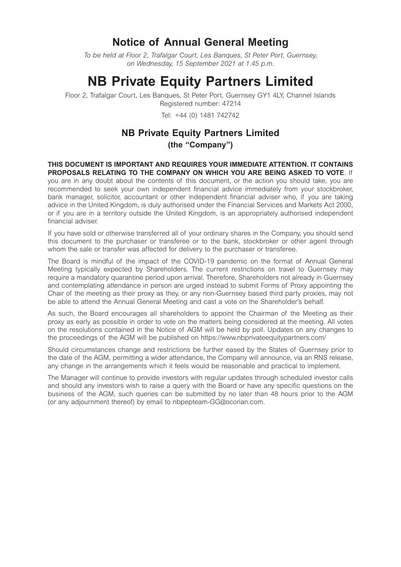# **Notice of Annual General Meeting**

*To be held at Floor 2, Trafalgar Court, Les Banques, St Peter Port, Guernsey, on Wednesday, 15 September 2021 at 1.45 p.m.* 

# **NB Private Equity Partners Limited**

Floor 2, Trafalgar Court, Les Banques, St Peter Port, Guernsey GY1 4LY, Channel Islands Registered number: 47214

Tel: +44 (0) 1481 742742

# **NB Private Equity Partners Limited (the "Company")**

**THIS DOCUMENT IS IMPORTANT AND REQUIRES YOUR IMMEDIATE ATTENTION. IT CONTAINS PROPOSALS RELATING TO THE COMPANY ON WHICH YOU ARE BEING ASKED TO VOTE**. If you are in any doubt about the contents of this document, or the action you should take, you are recommended to seek your own independent financial advice immediately from your stockbroker, bank manager, solicitor, accountant or other independent financial adviser who, if you are taking advice in the United Kingdom, is duly authorised under the Financial Services and Markets Act 2000, or if you are in a territory outside the United Kingdom, is an appropriately authorised independent financial adviser.

If you have sold or otherwise transferred all of your ordinary shares in the Company, you should send this document to the purchaser or transferee or to the bank, stockbroker or other agent through whom the sale or transfer was affected for delivery to the purchaser or transferee.

The Board is mindful of the impact of the COVID-19 pandemic on the format of Annual General Meeting typically expected by Shareholders. The current restrictions on travel to Guernsey may require a mandatory quarantine period upon arrival. Therefore, Shareholders not already in Guernsey and contemplating attendance in person are urged instead to submit Forms of Proxy appointing the Chair of the meeting as their proxy as they, or any non-Guernsey based third party proxies, may not be able to attend the Annual General Meeting and cast a vote on the Shareholder's behalf.

As such, the Board encourages all shareholders to appoint the Chairman of the Meeting as their proxy as early as possible in order to vote on the matters being considered at the meeting. All votes on the resolutions contained in the Notice of AGM will be held by poll. Updates on any changes to the proceedings of the AGM will be published on https://www.nbprivateequitypartners.com/

Should circumstances change and restrictions be further eased by the States of Guernsey prior to the date of the AGM, permitting a wider attendance, the Company will announce, via an RNS release, any change in the arrangements which it feels would be reasonable and practical to implement.

The Manager will continue to provide investors with regular updates through scheduled investor calls and should any investors wish to raise a query with the Board or have any specific questions on the business of the AGM, such queries can be submitted by no later than 48 hours prior to the AGM (or any adjournment thereof) by email to nbpepteam-GG@ocorian.com.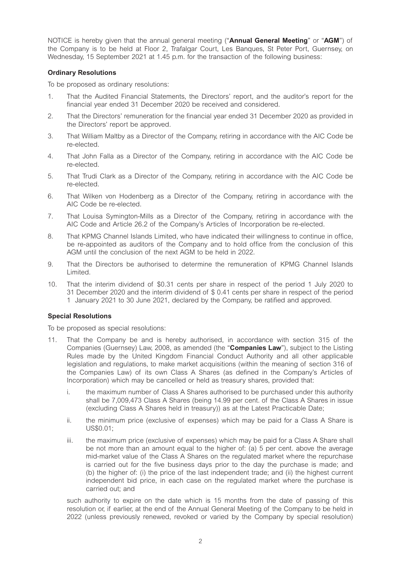NOTICE is hereby given that the annual general meeting ("**Annual General Meeting**" or "**AGM**") of the Company is to be held at Floor 2, Trafalgar Court, Les Banques, St Peter Port, Guernsey, on Wednesday, 15 September 2021 at 1.45 p.m. for the transaction of the following business:

# **Ordinary Resolutions**

To be proposed as ordinary resolutions:

- 1. That the Audited Financial Statements, the Directors' report, and the auditor's report for the financial year ended 31 December 2020 be received and considered.
- 2. That the Directors' remuneration for the financial year ended 31 December 2020 as provided in the Directors' report be approved.
- 3. That William Maltby as a Director of the Company, retiring in accordance with the AIC Code be re-elected.
- 4. That John Falla as a Director of the Company, retiring in accordance with the AIC Code be re-elected.
- 5. That Trudi Clark as a Director of the Company, retiring in accordance with the AIC Code be re-elected.
- 6. That Wilken von Hodenberg as a Director of the Company, retiring in accordance with the AIC Code be re-elected.
- 7. That Louisa Symington-Mills as a Director of the Company, retiring in accordance with the AIC Code and Article 26.2 of the Company's Articles of Incorporation be re-elected.
- 8. That KPMG Channel Islands Limited, who have indicated their willingness to continue in office, be re-appointed as auditors of the Company and to hold office from the conclusion of this AGM until the conclusion of the next AGM to be held in 2022.
- 9. That the Directors be authorised to determine the remuneration of KPMG Channel Islands Limited.
- 10. That the interim dividend of \$0.31 cents per share in respect of the period 1 July 2020 to 31 December 2020 and the interim dividend of \$ 0.41 cents per share in respect of the period 1 January 2021 to 30 June 2021, declared by the Company, be ratified and approved.

# **Special Resolutions**

To be proposed as special resolutions:

- 11. That the Company be and is hereby authorised, in accordance with section 315 of the Companies (Guernsey) Law, 2008, as amended (the "**Companies Law**"), subject to the Listing Rules made by the United Kingdom Financial Conduct Authority and all other applicable legislation and regulations, to make market acquisitions (within the meaning of section 316 of the Companies Law) of its own Class A Shares (as defined in the Company's Articles of Incorporation) which may be cancelled or held as treasury shares, provided that:
	- i. the maximum number of Class A Shares authorised to be purchased under this authority shall be 7,009,473 Class A Shares (being 14.99 per cent. of the Class A Shares in issue (excluding Class A Shares held in treasury)) as at the Latest Practicable Date;
	- ii. the minimum price (exclusive of expenses) which may be paid for a Class A Share is US\$0.01;
	- iii. the maximum price (exclusive of expenses) which may be paid for a Class A Share shall be not more than an amount equal to the higher of: (a) 5 per cent. above the average mid-market value of the Class A Shares on the regulated market where the repurchase is carried out for the five business days prior to the day the purchase is made; and (b) the higher of: (i) the price of the last independent trade; and (ii) the highest current independent bid price, in each case on the regulated market where the purchase is carried out; and

such authority to expire on the date which is 15 months from the date of passing of this resolution or, if earlier, at the end of the Annual General Meeting of the Company to be held in 2022 (unless previously renewed, revoked or varied by the Company by special resolution)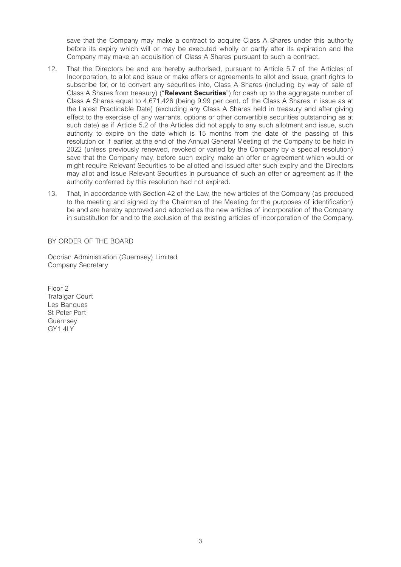save that the Company may make a contract to acquire Class A Shares under this authority before its expiry which will or may be executed wholly or partly after its expiration and the Company may make an acquisition of Class A Shares pursuant to such a contract.

- 12. That the Directors be and are hereby authorised, pursuant to Article 5.7 of the Articles of Incorporation, to allot and issue or make offers or agreements to allot and issue, grant rights to subscribe for, or to convert any securities into, Class A Shares (including by way of sale of Class A Shares from treasury) ("**Relevant Securities**") for cash up to the aggregate number of Class A Shares equal to 4,671,426 (being 9.99 per cent. of the Class A Shares in issue as at the Latest Practicable Date) (excluding any Class A Shares held in treasury and after giving effect to the exercise of any warrants, options or other convertible securities outstanding as at such date) as if Article 5.2 of the Articles did not apply to any such allotment and issue, such authority to expire on the date which is 15 months from the date of the passing of this resolution or, if earlier, at the end of the Annual General Meeting of the Company to be held in 2022 (unless previously renewed, revoked or varied by the Company by a special resolution) save that the Company may, before such expiry, make an offer or agreement which would or might require Relevant Securities to be allotted and issued after such expiry and the Directors may allot and issue Relevant Securities in pursuance of such an offer or agreement as if the authority conferred by this resolution had not expired.
- 13. That, in accordance with Section 42 of the Law, the new articles of the Company (as produced to the meeting and signed by the Chairman of the Meeting for the purposes of identification) be and are hereby approved and adopted as the new articles of incorporation of the Company in substitution for and to the exclusion of the existing articles of incorporation of the Company.

BY ORDER OF THE BOARD

Ocorian Administration (Guernsey) Limited Company Secretary

Floor 2 Trafalgar Court Les Banques St Peter Port Guernsey GY1 4LY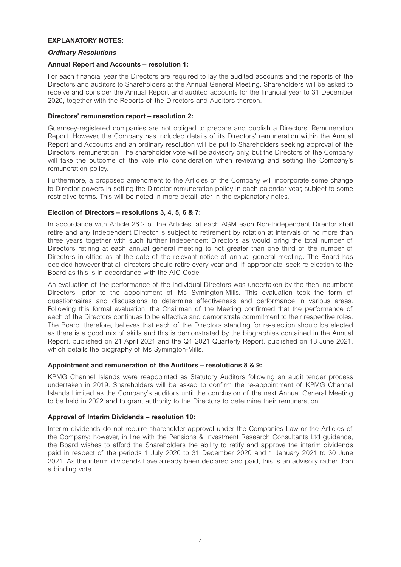#### **EXPLANATORY NOTES:**

#### *Ordinary Resolutions*

#### **Annual Report and Accounts – resolution 1:**

For each financial year the Directors are required to lay the audited accounts and the reports of the Directors and auditors to Shareholders at the Annual General Meeting. Shareholders will be asked to receive and consider the Annual Report and audited accounts for the financial year to 31 December 2020, together with the Reports of the Directors and Auditors thereon.

# **Directors' remuneration report – resolution 2:**

Guernsey-registered companies are not obliged to prepare and publish a Directors' Remuneration Report. However, the Company has included details of its Directors' remuneration within the Annual Report and Accounts and an ordinary resolution will be put to Shareholders seeking approval of the Directors' remuneration. The shareholder vote will be advisory only, but the Directors of the Company will take the outcome of the vote into consideration when reviewing and setting the Company's remuneration policy.

Furthermore, a proposed amendment to the Articles of the Company will incorporate some change to Director powers in setting the Director remuneration policy in each calendar year, subject to some restrictive terms. This will be noted in more detail later in the explanatory notes.

# **Election of Directors – resolutions 3, 4, 5, 6 & 7:**

In accordance with Article 26.2 of the Articles, at each AGM each Non-Independent Director shall retire and any Independent Director is subject to retirement by rotation at intervals of no more than three years together with such further Independent Directors as would bring the total number of Directors retiring at each annual general meeting to not greater than one third of the number of Directors in office as at the date of the relevant notice of annual general meeting. The Board has decided however that all directors should retire every year and, if appropriate, seek re-election to the Board as this is in accordance with the AIC Code.

An evaluation of the performance of the individual Directors was undertaken by the then incumbent Directors, prior to the appointment of Ms Symington-Mills. This evaluation took the form of questionnaires and discussions to determine effectiveness and performance in various areas. Following this formal evaluation, the Chairman of the Meeting confirmed that the performance of each of the Directors continues to be effective and demonstrate commitment to their respective roles. The Board, therefore, believes that each of the Directors standing for re-election should be elected as there is a good mix of skills and this is demonstrated by the biographies contained in the Annual Report, published on 21 April 2021 and the Q1 2021 Quarterly Report, published on 18 June 2021, which details the biography of Ms Symington-Mills.

# **Appointment and remuneration of the Auditors – resolutions 8 & 9:**

KPMG Channel Islands were reappointed as Statutory Auditors following an audit tender process undertaken in 2019. Shareholders will be asked to confirm the re-appointment of KPMG Channel Islands Limited as the Company's auditors until the conclusion of the next Annual General Meeting to be held in 2022 and to grant authority to the Directors to determine their remuneration.

# **Approval of Interim Dividends – resolution 10:**

Interim dividends do not require shareholder approval under the Companies Law or the Articles of the Company; however, in line with the Pensions & Investment Research Consultants Ltd guidance, the Board wishes to afford the Shareholders the ability to ratify and approve the interim dividends paid in respect of the periods 1 July 2020 to 31 December 2020 and 1 January 2021 to 30 June 2021. As the interim dividends have already been declared and paid, this is an advisory rather than a binding vote.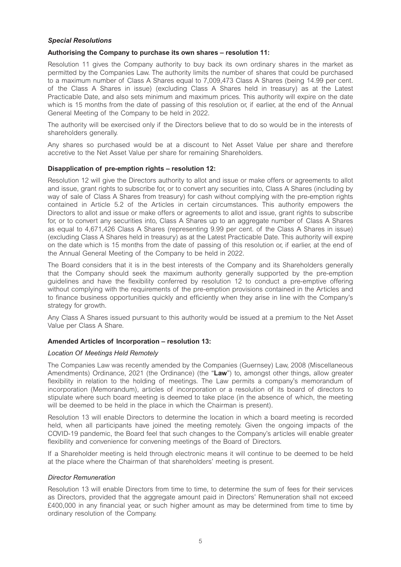# *Special Resolutions*

# **Authorising the Company to purchase its own shares – resolution 11:**

Resolution 11 gives the Company authority to buy back its own ordinary shares in the market as permitted by the Companies Law. The authority limits the number of shares that could be purchased to a maximum number of Class A Shares equal to 7,009,473 Class A Shares (being 14.99 per cent. of the Class A Shares in issue) (excluding Class A Shares held in treasury) as at the Latest Practicable Date, and also sets minimum and maximum prices. This authority will expire on the date which is 15 months from the date of passing of this resolution or, if earlier, at the end of the Annual General Meeting of the Company to be held in 2022.

The authority will be exercised only if the Directors believe that to do so would be in the interests of shareholders generally.

Any shares so purchased would be at a discount to Net Asset Value per share and therefore accretive to the Net Asset Value per share for remaining Shareholders.

# **Disapplication of pre-emption rights – resolution 12:**

Resolution 12 will give the Directors authority to allot and issue or make offers or agreements to allot and issue, grant rights to subscribe for, or to convert any securities into, Class A Shares (including by way of sale of Class A Shares from treasury) for cash without complying with the pre-emption rights contained in Article 5.2 of the Articles in certain circumstances. This authority empowers the Directors to allot and issue or make offers or agreements to allot and issue, grant rights to subscribe for, or to convert any securities into, Class A Shares up to an aggregate number of Class A Shares as equal to 4,671,426 Class A Shares (representing 9.99 per cent. of the Class A Shares in issue) (excluding Class A Shares held in treasury) as at the Latest Practicable Date. This authority will expire on the date which is 15 months from the date of passing of this resolution or, if earlier, at the end of the Annual General Meeting of the Company to be held in 2022.

The Board considers that it is in the best interests of the Company and its Shareholders generally that the Company should seek the maximum authority generally supported by the pre-emption guidelines and have the flexibility conferred by resolution 12 to conduct a pre-emptive offering without complying with the requirements of the pre-emption provisions contained in the Articles and to finance business opportunities quickly and efficiently when they arise in line with the Company's strategy for growth.

Any Class A Shares issued pursuant to this authority would be issued at a premium to the Net Asset Value per Class A Share.

# **Amended Articles of Incorporation – resolution 13:**

#### *Location Of Meetings Held Remotely*

The Companies Law was recently amended by the Companies (Guernsey) Law, 2008 (Miscellaneous Amendments) Ordinance, 2021 (the Ordinance) (the "**Law**") to, amongst other things, allow greater flexibility in relation to the holding of meetings. The Law permits a company's memorandum of incorporation (Memorandum), articles of incorporation or a resolution of its board of directors to stipulate where such board meeting is deemed to take place (in the absence of which, the meeting will be deemed to be held in the place in which the Chairman is present).

Resolution 13 will enable Directors to determine the location in which a board meeting is recorded held, when all participants have joined the meeting remotely. Given the ongoing impacts of the COVID-19 pandemic, the Board feel that such changes to the Company's articles will enable greater flexibility and convenience for convening meetings of the Board of Directors.

If a Shareholder meeting is held through electronic means it will continue to be deemed to be held at the place where the Chairman of that shareholders' meeting is present.

#### *Director Remuneration*

Resolution 13 will enable Directors from time to time, to determine the sum of fees for their services as Directors, provided that the aggregate amount paid in Directors' Remuneration shall not exceed £400,000 in any financial year, or such higher amount as may be determined from time to time by ordinary resolution of the Company.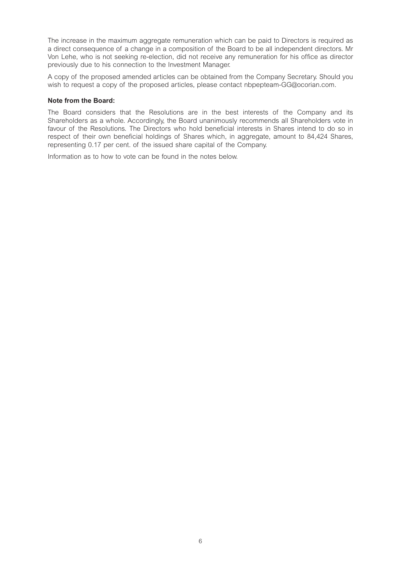The increase in the maximum aggregate remuneration which can be paid to Directors is required as a direct consequence of a change in a composition of the Board to be all independent directors. Mr Von Lehe, who is not seeking re-election, did not receive any remuneration for his office as director previously due to his connection to the Investment Manager.

A copy of the proposed amended articles can be obtained from the Company Secretary. Should you wish to request a copy of the proposed articles, please contact nbpepteam-GG@ocorian.com.

#### **Note from the Board:**

The Board considers that the Resolutions are in the best interests of the Company and its Shareholders as a whole. Accordingly, the Board unanimously recommends all Shareholders vote in favour of the Resolutions. The Directors who hold beneficial interests in Shares intend to do so in respect of their own beneficial holdings of Shares which, in aggregate, amount to 84,424 Shares, representing 0.17 per cent. of the issued share capital of the Company.

Information as to how to vote can be found in the notes below.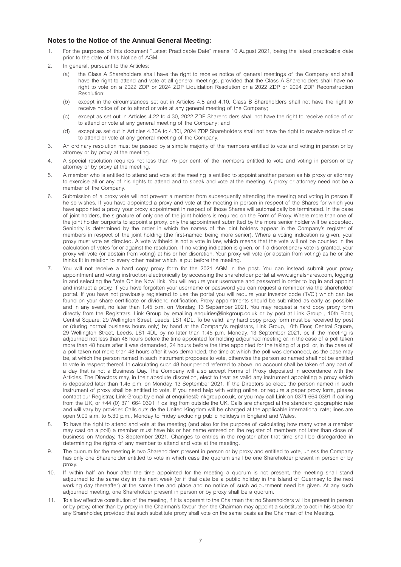#### **Notes to the Notice of the Annual General Meeting:**

- 1. For the purposes of this document "Latest Practicable Date" means 10 August 2021, being the latest practicable date prior to the date of this Notice of AGM.
- 2. In general, pursuant to the Articles:
	- (a) the Class A Shareholders shall have the right to receive notice of general meetings of the Company and shall have the right to attend and vote at all general meetings, provided that the Class A Shareholders shall have no right to vote on a 2022 ZDP or 2024 ZDP Liquidation Resolution or a 2022 ZDP or 2024 ZDP Reconstruction Resolution;
	- (b) except in the circumstances set out in Articles 4.8 and 4.10, Class B Shareholders shall not have the right to receive notice of or to attend or vote at any general meeting of the Company;
	- (c) except as set out in Articles 4.22 to 4.30, 2022 ZDP Shareholders shall not have the right to receive notice of or to attend or vote at any general meeting of the Company; and
	- (d) except as set out in Articles 4.30A to 4.30I, 2024 ZDP Shareholders shall not have the right to receive notice of or to attend or vote at any general meeting of the Company.
- 3. An ordinary resolution must be passed by a simple majority of the members entitled to vote and voting in person or by attorney or by proxy at the meeting.
- 4. A special resolution requires not less than 75 per cent. of the members entitled to vote and voting in person or by attorney or by proxy at the meeting.
- 5. A member who is entitled to attend and vote at the meeting is entitled to appoint another person as his proxy or attorney to exercise all or any of his rights to attend and to speak and vote at the meeting. A proxy or attorney need not be a member of the Company.
- 6. Submission of a proxy vote will not prevent a member from subsequently attending the meeting and voting in person if he so wishes. If you have appointed a proxy and vote at the meeting in person in respect of the Shares for which you have appointed a proxy, your proxy appointment in respect of those Shares will automatically be terminated. In the case of joint holders, the signature of only one of the joint holders is required on the Form of Proxy. Where more than one of the joint holder purports to appoint a proxy, only the appointment submitted by the more senior holder will be accepted. Seniority is determined by the order in which the names of the joint holders appear in the Company's register of members in respect of the joint holding (the first-named being more senior). Where a voting indication is given, your proxy must vote as directed. A vote withheld is not a vote in law, which means that the vote will not be counted in the calculation of votes for or against the resolution. If no voting indication is given, or if a discretionary vote is granted, your proxy will vote (or abstain from voting) at his or her discretion. Your proxy will vote (or abstain from voting) as he or she thinks fit in relation to every other matter which is put before the meeting.
- 7. You will not receive a hard copy proxy form for the 2021 AGM in the post. You can instead submit your proxy appointment and voting instruction electronically by accessing the shareholder portal at www.signalshares.com, logging in and selecting the 'Vote Online Now' link. You will require your username and password in order to log in and appoint and instruct a proxy. If you have forgotten your username or password you can request a reminder via the shareholder portal. If you have not previously registered to use the portal you will require your investor code ('IVC') which can be found on your share certificate or dividend notification. Proxy appointments should be submitted as early as possible and in any event, no later than 1.45 p.m. on Monday, 13 September 2021. You may request a hard copy proxy form directly from the Registrars, Link Group by emailing enquiries@linkgroup.co.uk or by post at Link Group , 10th Floor, Central Square, 29 Wellington Street, Leeds, LS1 4DL. To be valid, any hard copy proxy form must be received by post or (during normal business hours only) by hand at the Company's registrars, Link Group, 10th Floor, Central Square, 29 Wellington Street, Leeds, LS1 4DL by no later than 1:45 p.m. Monday, 13 September 2021, or, if the meeting is adjourned not less than 48 hours before the time appointed for holding adjourned meeting or, in the case of a poll taken more than 48 hours after it was demanded, 24 hours before the time appointed for the taking of a poll or, in the case of a poll taken not more than 48 hours after it was demanded, the time at which the poll was demanded, as the case may be, at which the person named in such instrument proposes to vote, otherwise the person so named shall not be entitled to vote in respect thereof. In calculating such 48 hour period referred to above, no account shall be taken of any part of a day that is not a Business Day. The Company will also accept Forms of Proxy deposited in accordance with the Articles. The Directors may, in their absolute discretion, elect to treat as valid any instrument appointing a proxy which is deposited later than 1.45 p.m. on Monday, 13 September 2021. If the Directors so elect, the person named in such instrument of proxy shall be entitled to vote. If you need help with voting online, or require a paper proxy form, please contact our Registrar, Link Group by email at enquiries@linkgroup.co.uk, or you may call Link on 0371 664 0391 if calling from the UK, or +44 (0) 371 664 0391 if calling from outside the UK. Calls are charged at the standard geographic rate and will vary by provider. Calls outside the United Kingdom will be charged at the applicable international rate; lines are open 9.00 a.m. to 5.30 p.m., Monday to Friday excluding public holidays in England and Wales.
- 8. To have the right to attend and vote at the meeting (and also for the purpose of calculating how many votes a member may cast on a poll) a member must have his or her name entered on the register of members not later than close of business on Monday, 13 September 2021. Changes to entries in the register after that time shall be disregarded in determining the rights of any member to attend and vote at the meeting.
- 9. The quorum for the meeting is two Shareholders present in person or by proxy and entitled to vote, unless the Company has only one Shareholder entitled to vote in which case the quorum shall be one Shareholder present in person or by proxy.
- 10. If within half an hour after the time appointed for the meeting a quorum is not present, the meeting shall stand adjourned to the same day in the next week (or if that date be a public holiday in the Island of Guernsey to the next working day thereafter) at the same time and place and no notice of such adjournment need be given. At any such adjourned meeting, one Shareholder present in person or by proxy shall be a quorum.
- 11. To allow effective constitution of the meeting, if it is apparent to the Chairman that no Shareholders will be present in person or by proxy, other than by proxy in the Chairman's favour, then the Chairman may appoint a substitute to act in his stead for any Shareholder, provided that such substitute proxy shall vote on the same basis as the Chairman of the Meeting.